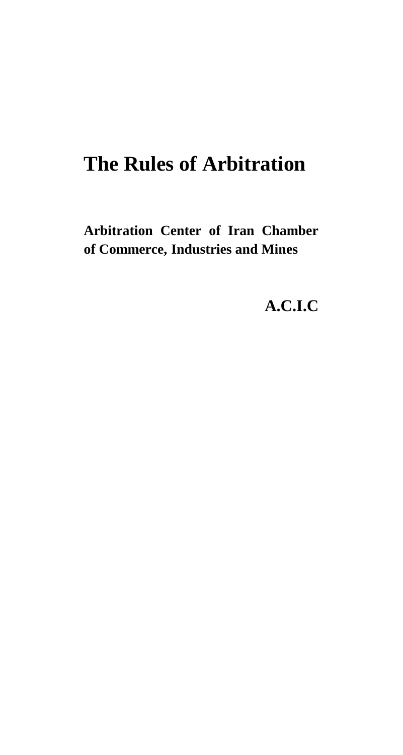# **The Rules of Arbitration**

**Arbitration Center of Iran Chamber of Commerce, Industries and Mines**

**A.C.I.C**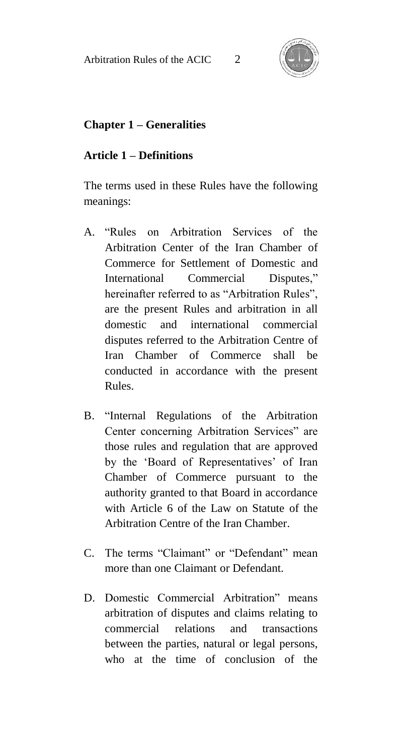

### **Chapter 1 – Generalities**

#### **Article 1 – Definitions**

The terms used in these Rules have the following meanings:

- A. "Rules on Arbitration Services of the Arbitration Center of the Iran Chamber of Commerce for Settlement of Domestic and International Commercial Disputes," hereinafter referred to as "Arbitration Rules", are the present Rules and arbitration in all domestic and international commercial disputes referred to the Arbitration Centre of Iran Chamber of Commerce shall be conducted in accordance with the present Rules.
- B. "Internal Regulations of the Arbitration Center concerning Arbitration Services" are those rules and regulation that are approved by the 'Board of Representatives' of Iran Chamber of Commerce pursuant to the authority granted to that Board in accordance with Article 6 of the Law on Statute of the Arbitration Centre of the Iran Chamber.
- C. The terms "Claimant" or "Defendant" mean more than one Claimant or Defendant.
- D. Domestic Commercial Arbitration" means arbitration of disputes and claims relating to commercial relations and transactions between the parties, natural or legal persons, who at the time of conclusion of the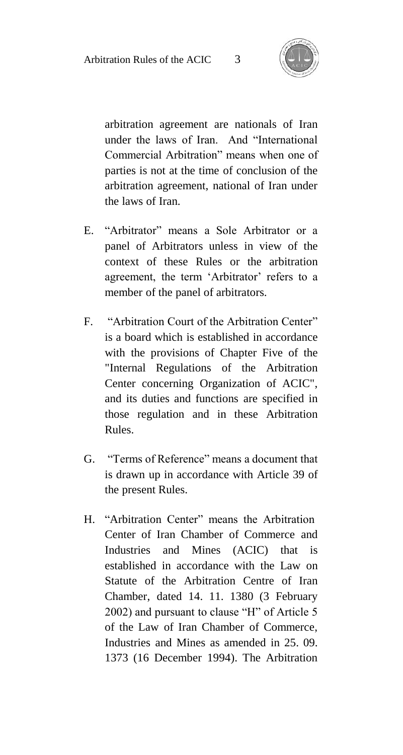

arbitration agreement are nationals of Iran under the laws of Iran. And "International Commercial Arbitration" means when one of parties is not at the time of conclusion of the arbitration agreement, national of Iran under the laws of Iran.

- E. "Arbitrator" means a Sole Arbitrator or a panel of Arbitrators unless in view of the context of these Rules or the arbitration agreement, the term 'Arbitrator' refers to a member of the panel of arbitrators.
- F. "Arbitration Court of the Arbitration Center" is a board which is established in accordance with the provisions of Chapter Five of the "Internal Regulations of the Arbitration Center concerning Organization of ACIC", and its duties and functions are specified in those regulation and in these Arbitration Rules.
- G. "Terms of Reference" means a document that is drawn up in accordance with Article 39 of the present Rules.
- H. "Arbitration Center" means the Arbitration Center of Iran Chamber of Commerce and Industries and Mines (ACIC) that is established in accordance with the Law on Statute of the Arbitration Centre of Iran Chamber, dated 14. 11. 1380 (3 February 2002) and pursuant to clause "H" of Article 5 of the Law of Iran Chamber of Commerce, Industries and Mines as amended in 25. 09. 1373 (16 December 1994). The Arbitration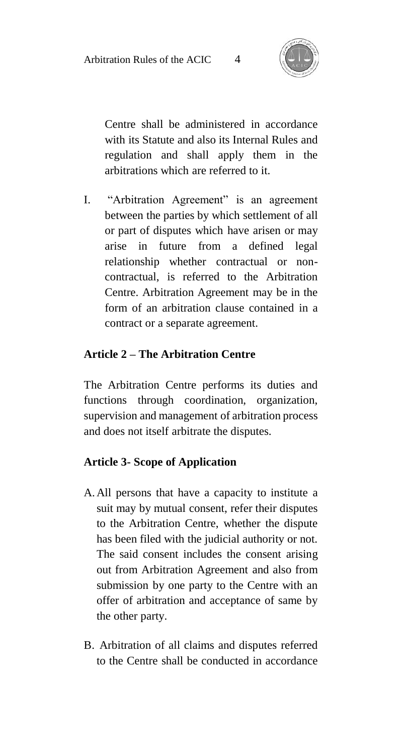

Centre shall be administered in accordance with its Statute and also its Internal Rules and regulation and shall apply them in the arbitrations which are referred to it.

I. "Arbitration Agreement" is an agreement between the parties by which settlement of all or part of disputes which have arisen or may arise in future from a defined legal relationship whether contractual or noncontractual, is referred to the Arbitration Centre. Arbitration Agreement may be in the form of an arbitration clause contained in a contract or a separate agreement.

#### **Article 2 – The Arbitration Centre**

The Arbitration Centre performs its duties and functions through coordination, organization, supervision and management of arbitration process and does not itself arbitrate the disputes.

#### **Article 3- Scope of Application**

- A.All persons that have a capacity to institute a suit may by mutual consent, refer their disputes to the Arbitration Centre, whether the dispute has been filed with the judicial authority or not. The said consent includes the consent arising out from Arbitration Agreement and also from submission by one party to the Centre with an offer of arbitration and acceptance of same by the other party.
- B. Arbitration of all claims and disputes referred to the Centre shall be conducted in accordance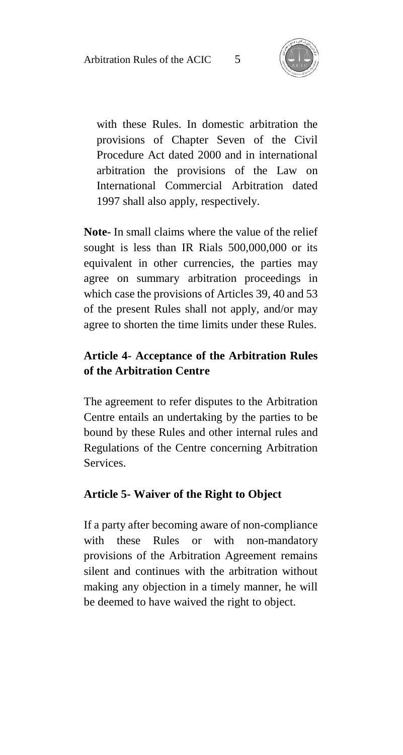

with these Rules. In domestic arbitration the provisions of Chapter Seven of the Civil Procedure Act dated 2000 and in international arbitration the provisions of the Law on International Commercial Arbitration dated 1997 shall also apply, respectively.

**Note-** In small claims where the value of the relief sought is less than IR Rials 500,000,000 or its equivalent in other currencies, the parties may agree on summary arbitration proceedings in which case the provisions of Articles 39, 40 and 53 of the present Rules shall not apply, and/or may agree to shorten the time limits under these Rules.

### **Article 4- Acceptance of the Arbitration Rules of the Arbitration Centre**

The agreement to refer disputes to the Arbitration Centre entails an undertaking by the parties to be bound by these Rules and other internal rules and Regulations of the Centre concerning Arbitration Services.

### **Article 5- Waiver of the Right to Object**

If a party after becoming aware of non-compliance with these Rules or with non-mandatory provisions of the Arbitration Agreement remains silent and continues with the arbitration without making any objection in a timely manner, he will be deemed to have waived the right to object.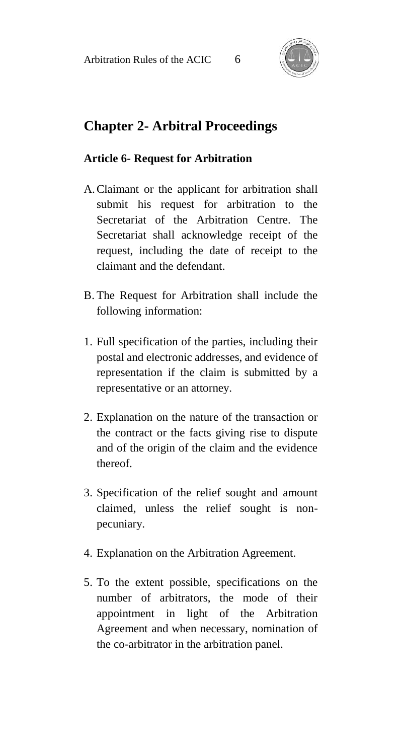

# **Chapter 2- Arbitral Proceedings**

#### **Article 6- Request for Arbitration**

- A.Claimant or the applicant for arbitration shall submit his request for arbitration to the Secretariat of the Arbitration Centre. The Secretariat shall acknowledge receipt of the request, including the date of receipt to the claimant and the defendant.
- B. The Request for Arbitration shall include the following information:
- 1. Full specification of the parties, including their postal and electronic addresses, and evidence of representation if the claim is submitted by a representative or an attorney.
- 2. Explanation on the nature of the transaction or the contract or the facts giving rise to dispute and of the origin of the claim and the evidence thereof.
- 3. Specification of the relief sought and amount claimed, unless the relief sought is nonpecuniary.
- 4. Explanation on the Arbitration Agreement.
- 5. To the extent possible, specifications on the number of arbitrators, the mode of their appointment in light of the Arbitration Agreement and when necessary, nomination of the co-arbitrator in the arbitration panel.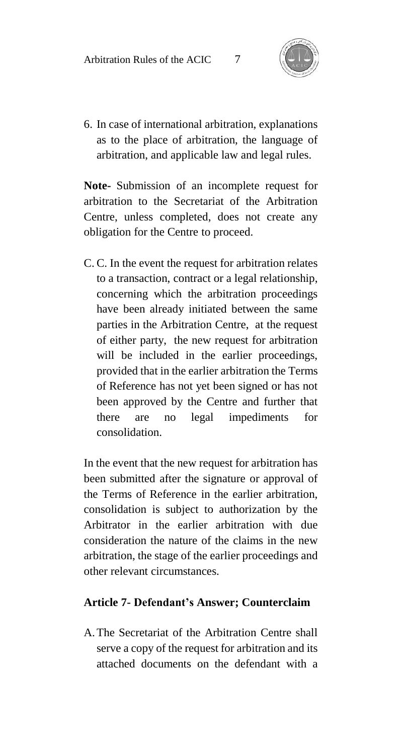

6. In case of international arbitration, explanations as to the place of arbitration, the language of arbitration, and applicable law and legal rules.

**Note-** Submission of an incomplete request for arbitration to the Secretariat of the Arbitration Centre, unless completed, does not create any obligation for the Centre to proceed.

C. C. In the event the request for arbitration relates to a transaction, contract or a legal relationship, concerning which the arbitration proceedings have been already initiated between the same parties in the Arbitration Centre, at the request of either party, the new request for arbitration will be included in the earlier proceedings, provided that in the earlier arbitration the Terms of Reference has not yet been signed or has not been approved by the Centre and further that there are no legal impediments for consolidation.

In the event that the new request for arbitration has been submitted after the signature or approval of the Terms of Reference in the earlier arbitration, consolidation is subject to authorization by the Arbitrator in the earlier arbitration with due consideration the nature of the claims in the new arbitration, the stage of the earlier proceedings and other relevant circumstances.

#### **Article 7- Defendant's Answer; Counterclaim**

A.The Secretariat of the Arbitration Centre shall serve a copy of the request for arbitration and its attached documents on the defendant with a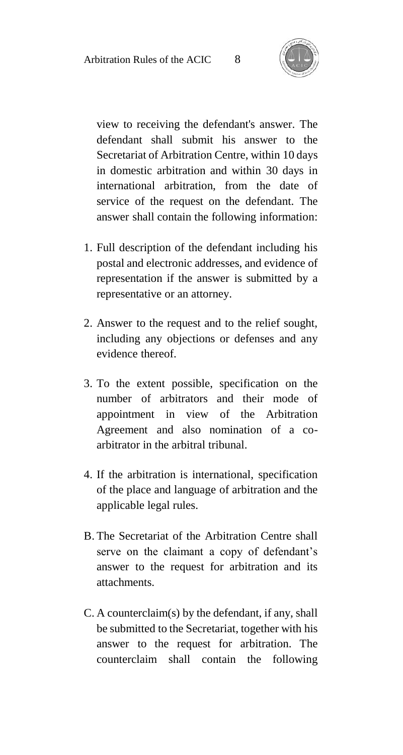

view to receiving the defendant's answer. The defendant shall submit his answer to the Secretariat of Arbitration Centre, within 10 days in domestic arbitration and within 30 days in international arbitration, from the date of service of the request on the defendant. The answer shall contain the following information:

- 1. Full description of the defendant including his postal and electronic addresses, and evidence of representation if the answer is submitted by a representative or an attorney.
- 2. Answer to the request and to the relief sought, including any objections or defenses and any evidence thereof.
- 3. To the extent possible, specification on the number of arbitrators and their mode of appointment in view of the Arbitration Agreement and also nomination of a coarbitrator in the arbitral tribunal.
- 4. If the arbitration is international, specification of the place and language of arbitration and the applicable legal rules.
- B. The Secretariat of the Arbitration Centre shall serve on the claimant a copy of defendant's answer to the request for arbitration and its attachments.
- C. A counterclaim(s) by the defendant, if any, shall be submitted to the Secretariat, together with his answer to the request for arbitration. The counterclaim shall contain the following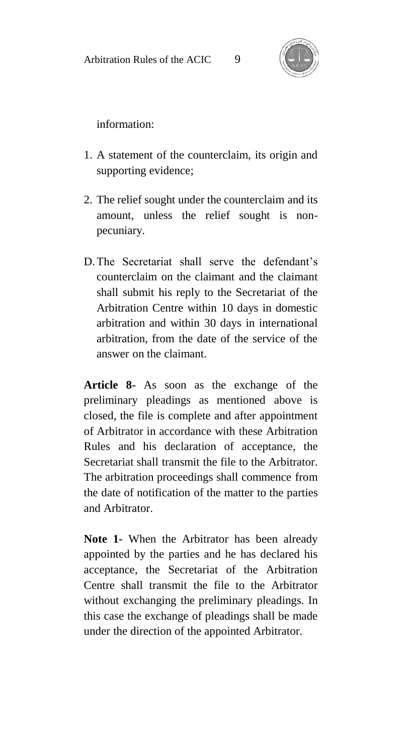

information:

- 1. A statement of the counterclaim, its origin and supporting evidence;
- 2. The relief sought under the counterclaim and its amount, unless the relief sought is nonpecuniary.
- D.The Secretariat shall serve the defendant's counterclaim on the claimant and the claimant shall submit his reply to the Secretariat of the Arbitration Centre within 10 days in domestic arbitration and within 30 days in international arbitration, from the date of the service of the answer on the claimant.

**Article 8-** As soon as the exchange of the preliminary pleadings as mentioned above is closed, the file is complete and after appointment of Arbitrator in accordance with these Arbitration Rules and his declaration of acceptance, the Secretariat shall transmit the file to the Arbitrator. The arbitration proceedings shall commence from the date of notification of the matter to the parties and Arbitrator.

**Note 1-** When the Arbitrator has been already appointed by the parties and he has declared his acceptance, the Secretariat of the Arbitration Centre shall transmit the file to the Arbitrator without exchanging the preliminary pleadings. In this case the exchange of pleadings shall be made under the direction of the appointed Arbitrator.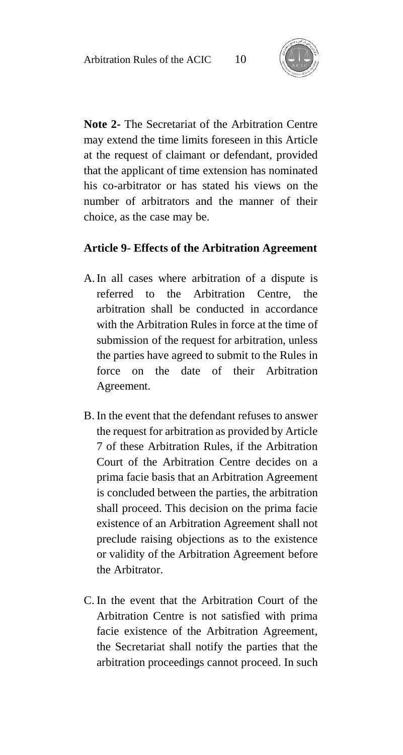

**Note 2-** The Secretariat of the Arbitration Centre may extend the time limits foreseen in this Article at the request of claimant or defendant, provided that the applicant of time extension has nominated his co-arbitrator or has stated his views on the number of arbitrators and the manner of their choice, as the case may be.

#### **Article 9- Effects of the Arbitration Agreement**

- A.In all cases where arbitration of a dispute is referred to the Arbitration Centre, the arbitration shall be conducted in accordance with the Arbitration Rules in force at the time of submission of the request for arbitration, unless the parties have agreed to submit to the Rules in force on the date of their Arbitration Agreement.
- B. In the event that the defendant refuses to answer the request for arbitration as provided by Article 7 of these Arbitration Rules, if the Arbitration Court of the Arbitration Centre decides on a prima facie basis that an Arbitration Agreement is concluded between the parties, the arbitration shall proceed. This decision on the prima facie existence of an Arbitration Agreement shall not preclude raising objections as to the existence or validity of the Arbitration Agreement before the Arbitrator.
- C. In the event that the Arbitration Court of the Arbitration Centre is not satisfied with prima facie existence of the Arbitration Agreement, the Secretariat shall notify the parties that the arbitration proceedings cannot proceed. In such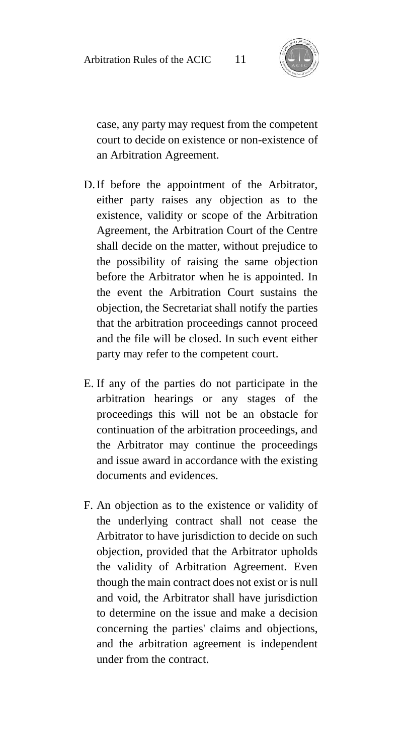

case, any party may request from the competent court to decide on existence or non-existence of an Arbitration Agreement.

- D.If before the appointment of the Arbitrator, either party raises any objection as to the existence, validity or scope of the Arbitration Agreement, the Arbitration Court of the Centre shall decide on the matter, without prejudice to the possibility of raising the same objection before the Arbitrator when he is appointed. In the event the Arbitration Court sustains the objection, the Secretariat shall notify the parties that the arbitration proceedings cannot proceed and the file will be closed. In such event either party may refer to the competent court.
- E. If any of the parties do not participate in the arbitration hearings or any stages of the proceedings this will not be an obstacle for continuation of the arbitration proceedings, and the Arbitrator may continue the proceedings and issue award in accordance with the existing documents and evidences.
- F. An objection as to the existence or validity of the underlying contract shall not cease the Arbitrator to have jurisdiction to decide on such objection, provided that the Arbitrator upholds the validity of Arbitration Agreement. Even though the main contract does not exist or is null and void, the Arbitrator shall have jurisdiction to determine on the issue and make a decision concerning the parties' claims and objections, and the arbitration agreement is independent under from the contract.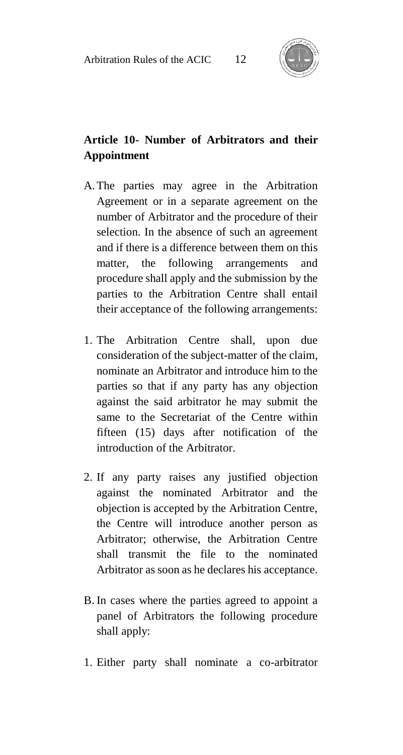

### **Article 10- Number of Arbitrators and their Appointment**

- A.The parties may agree in the Arbitration Agreement or in a separate agreement on the number of Arbitrator and the procedure of their selection. In the absence of such an agreement and if there is a difference between them on this matter, the following arrangements and procedure shall apply and the submission by the parties to the Arbitration Centre shall entail their acceptance of the following arrangements:
- 1. The Arbitration Centre shall, upon due consideration of the subject-matter of the claim, nominate an Arbitrator and introduce him to the parties so that if any party has any objection against the said arbitrator he may submit the same to the Secretariat of the Centre within fifteen (15) days after notification of the introduction of the Arbitrator.
- 2. If any party raises any justified objection against the nominated Arbitrator and the objection is accepted by the Arbitration Centre, the Centre will introduce another person as Arbitrator; otherwise, the Arbitration Centre shall transmit the file to the nominated Arbitrator as soon as he declares his acceptance.
- B. In cases where the parties agreed to appoint a panel of Arbitrators the following procedure shall apply:
- 1. Either party shall nominate a co-arbitrator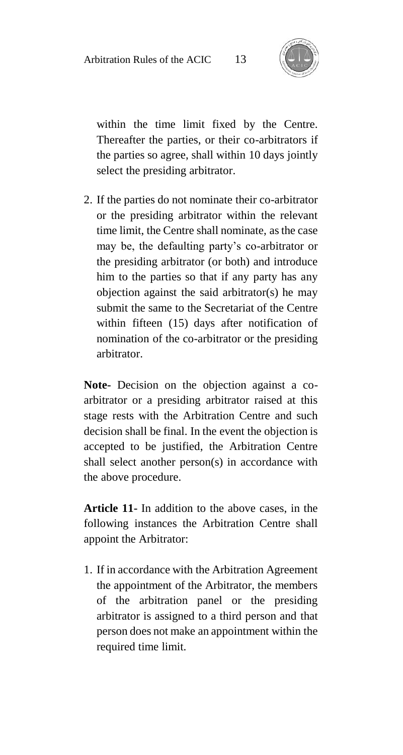

within the time limit fixed by the Centre. Thereafter the parties, or their co-arbitrators if the parties so agree, shall within 10 days jointly select the presiding arbitrator.

2. If the parties do not nominate their co-arbitrator or the presiding arbitrator within the relevant time limit, the Centre shall nominate, as the case may be, the defaulting party's co-arbitrator or the presiding arbitrator (or both) and introduce him to the parties so that if any party has any objection against the said arbitrator(s) he may submit the same to the Secretariat of the Centre within fifteen (15) days after notification of nomination of the co-arbitrator or the presiding arbitrator.

**Note-** Decision on the objection against a coarbitrator or a presiding arbitrator raised at this stage rests with the Arbitration Centre and such decision shall be final. In the event the objection is accepted to be justified, the Arbitration Centre shall select another person(s) in accordance with the above procedure.

**Article 11-** In addition to the above cases, in the following instances the Arbitration Centre shall appoint the Arbitrator:

1. If in accordance with the Arbitration Agreement the appointment of the Arbitrator, the members of the arbitration panel or the presiding arbitrator is assigned to a third person and that person does not make an appointment within the required time limit.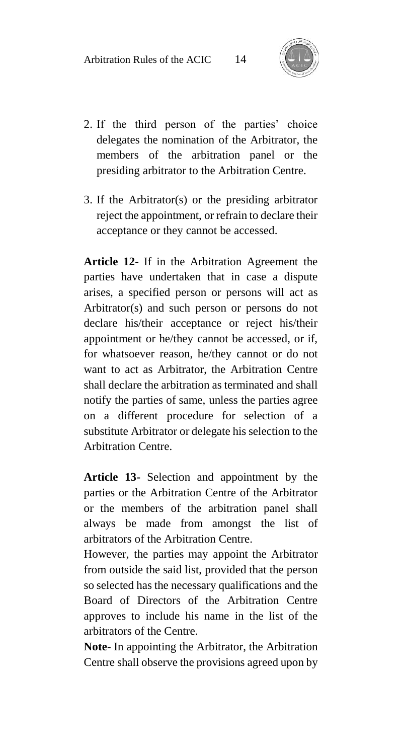

- 2. If the third person of the parties' choice delegates the nomination of the Arbitrator, the members of the arbitration panel or the presiding arbitrator to the Arbitration Centre.
- 3. If the Arbitrator(s) or the presiding arbitrator reject the appointment, or refrain to declare their acceptance or they cannot be accessed.

**Article 12-** If in the Arbitration Agreement the parties have undertaken that in case a dispute arises, a specified person or persons will act as Arbitrator(s) and such person or persons do not declare his/their acceptance or reject his/their appointment or he/they cannot be accessed, or if, for whatsoever reason, he/they cannot or do not want to act as Arbitrator, the Arbitration Centre shall declare the arbitration as terminated and shall notify the parties of same, unless the parties agree on a different procedure for selection of a substitute Arbitrator or delegate his selection to the Arbitration Centre.

**Article 13-** Selection and appointment by the parties or the Arbitration Centre of the Arbitrator or the members of the arbitration panel shall always be made from amongst the list of arbitrators of the Arbitration Centre.

However, the parties may appoint the Arbitrator from outside the said list, provided that the person so selected has the necessary qualifications and the Board of Directors of the Arbitration Centre approves to include his name in the list of the arbitrators of the Centre.

**Note-** In appointing the Arbitrator, the Arbitration Centre shall observe the provisions agreed upon by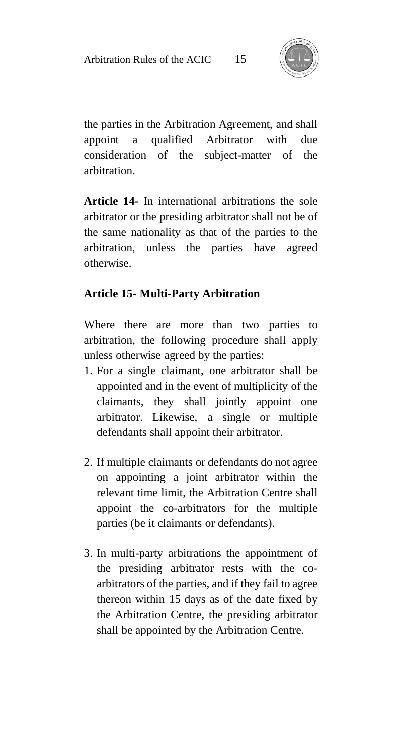

the parties in the Arbitration Agreement, and shall appoint a qualified Arbitrator with due consideration of the subject-matter of the arbitration.

**Article 14-** In international arbitrations the sole arbitrator or the presiding arbitrator shall not be of the same nationality as that of the parties to the arbitration, unless the parties have agreed otherwise.

### **Article 15- Multi-Party Arbitration**

Where there are more than two parties to arbitration, the following procedure shall apply unless otherwise agreed by the parties:

- 1. For a single claimant, one arbitrator shall be appointed and in the event of multiplicity of the claimants, they shall jointly appoint one arbitrator. Likewise, a single or multiple defendants shall appoint their arbitrator.
- 2. If multiple claimants or defendants do not agree on appointing a joint arbitrator within the relevant time limit, the Arbitration Centre shall appoint the co-arbitrators for the multiple parties (be it claimants or defendants).
- 3. In multi-party arbitrations the appointment of the presiding arbitrator rests with the coarbitrators of the parties, and if they fail to agree thereon within 15 days as of the date fixed by the Arbitration Centre, the presiding arbitrator shall be appointed by the Arbitration Centre.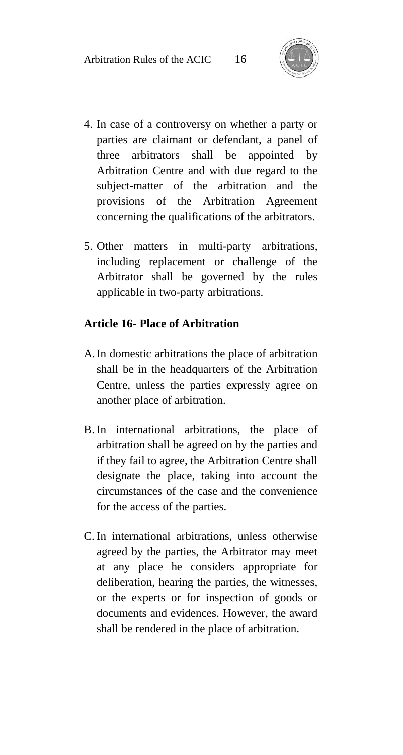

- 4. In case of a controversy on whether a party or parties are claimant or defendant, a panel of three arbitrators shall be appointed by Arbitration Centre and with due regard to the subject-matter of the arbitration and the provisions of the Arbitration Agreement concerning the qualifications of the arbitrators.
- 5. Other matters in multi-party arbitrations, including replacement or challenge of the Arbitrator shall be governed by the rules applicable in two-party arbitrations.

#### **Article 16- Place of Arbitration**

- A.In domestic arbitrations the place of arbitration shall be in the headquarters of the Arbitration Centre, unless the parties expressly agree on another place of arbitration.
- B. In international arbitrations, the place of arbitration shall be agreed on by the parties and if they fail to agree, the Arbitration Centre shall designate the place, taking into account the circumstances of the case and the convenience for the access of the parties.
- C. In international arbitrations, unless otherwise agreed by the parties, the Arbitrator may meet at any place he considers appropriate for deliberation, hearing the parties, the witnesses, or the experts or for inspection of goods or documents and evidences. However, the award shall be rendered in the place of arbitration.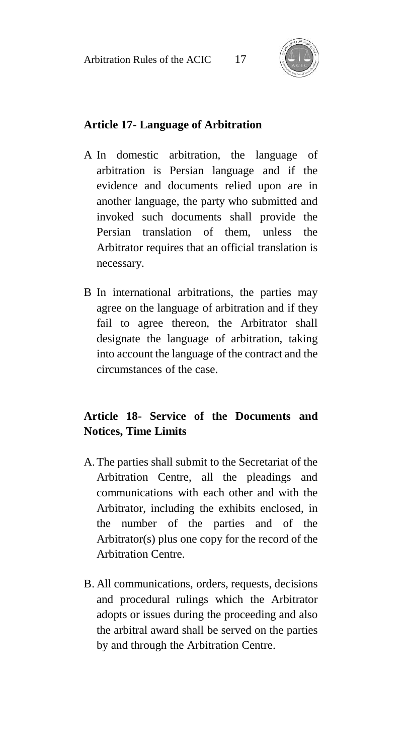

### **Article 17- Language of Arbitration**

- A In domestic arbitration, the language of arbitration is Persian language and if the evidence and documents relied upon are in another language, the party who submitted and invoked such documents shall provide the Persian translation of them, unless the Arbitrator requires that an official translation is necessary.
- B In international arbitrations, the parties may agree on the language of arbitration and if they fail to agree thereon, the Arbitrator shall designate the language of arbitration, taking into account the language of the contract and the circumstances of the case.

### **Article 18- Service of the Documents and Notices, Time Limits**

- A.The parties shall submit to the Secretariat of the Arbitration Centre, all the pleadings and communications with each other and with the Arbitrator, including the exhibits enclosed, in the number of the parties and of the Arbitrator(s) plus one copy for the record of the Arbitration Centre.
- B. All communications, orders, requests, decisions and procedural rulings which the Arbitrator adopts or issues during the proceeding and also the arbitral award shall be served on the parties by and through the Arbitration Centre.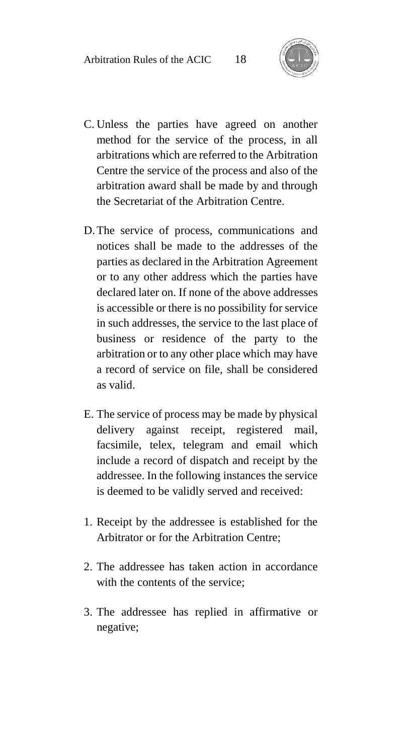

- C. Unless the parties have agreed on another method for the service of the process, in all arbitrations which are referred to the Arbitration Centre the service of the process and also of the arbitration award shall be made by and through the Secretariat of the Arbitration Centre.
- D.The service of process, communications and notices shall be made to the addresses of the parties as declared in the Arbitration Agreement or to any other address which the parties have declared later on. If none of the above addresses is accessible or there is no possibility for service in such addresses, the service to the last place of business or residence of the party to the arbitration or to any other place which may have a record of service on file, shall be considered as valid.
- E. The service of process may be made by physical delivery against receipt, registered mail, facsimile, telex, telegram and email which include a record of dispatch and receipt by the addressee. In the following instances the service is deemed to be validly served and received:
- 1. Receipt by the addressee is established for the Arbitrator or for the Arbitration Centre;
- 2. The addressee has taken action in accordance with the contents of the service;
- 3. The addressee has replied in affirmative or negative;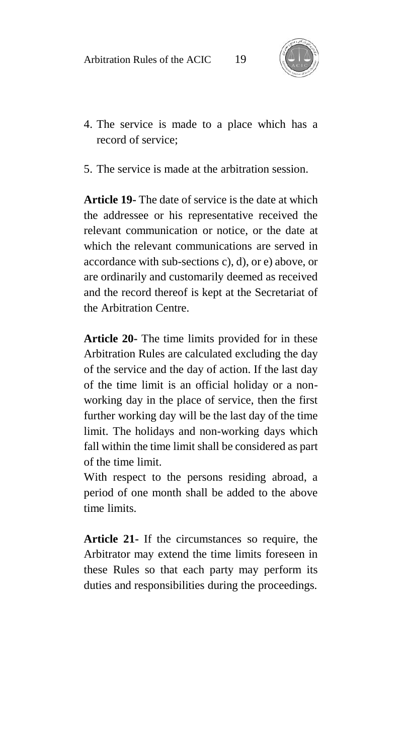

- 4. The service is made to a place which has a record of service;
- 5. The service is made at the arbitration session.

**Article 19-** The date of service is the date at which the addressee or his representative received the relevant communication or notice, or the date at which the relevant communications are served in accordance with sub-sections c), d), or e) above, or are ordinarily and customarily deemed as received and the record thereof is kept at the Secretariat of the Arbitration Centre.

**Article 20-** The time limits provided for in these Arbitration Rules are calculated excluding the day of the service and the day of action. If the last day of the time limit is an official holiday or a nonworking day in the place of service, then the first further working day will be the last day of the time limit. The holidays and non-working days which fall within the time limit shall be considered as part of the time limit.

With respect to the persons residing abroad, a period of one month shall be added to the above time limits.

**Article 21-** If the circumstances so require, the Arbitrator may extend the time limits foreseen in these Rules so that each party may perform its duties and responsibilities during the proceedings.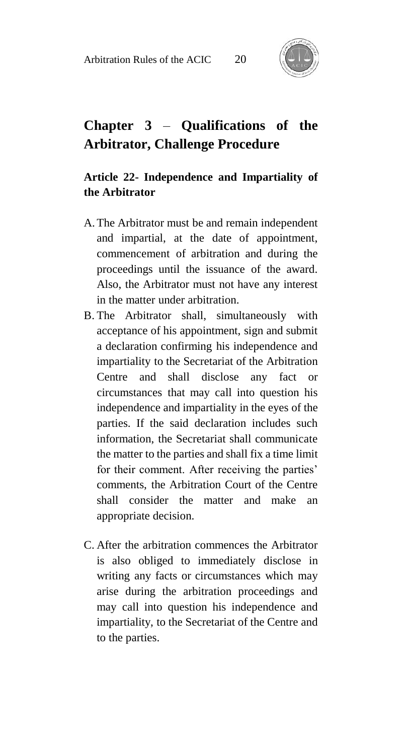

# **Chapter 3** – **Qualifications of the Arbitrator, Challenge Procedure**

### **Article 22- Independence and Impartiality of the Arbitrator**

- A.The Arbitrator must be and remain independent and impartial, at the date of appointment, commencement of arbitration and during the proceedings until the issuance of the award. Also, the Arbitrator must not have any interest in the matter under arbitration.
- B. The Arbitrator shall, simultaneously with acceptance of his appointment, sign and submit a declaration confirming his independence and impartiality to the Secretariat of the Arbitration Centre and shall disclose any fact or circumstances that may call into question his independence and impartiality in the eyes of the parties. If the said declaration includes such information, the Secretariat shall communicate the matter to the parties and shall fix a time limit for their comment. After receiving the parties' comments, the Arbitration Court of the Centre shall consider the matter and make an appropriate decision.
- C. After the arbitration commences the Arbitrator is also obliged to immediately disclose in writing any facts or circumstances which may arise during the arbitration proceedings and may call into question his independence and impartiality, to the Secretariat of the Centre and to the parties.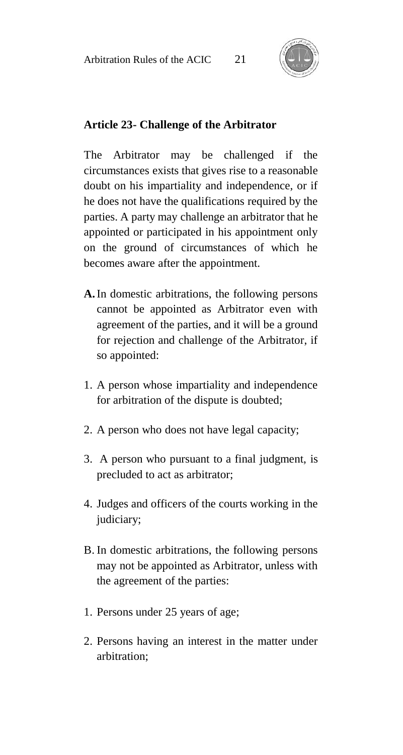

### **Article 23- Challenge of the Arbitrator**

The Arbitrator may be challenged if the circumstances exists that gives rise to a reasonable doubt on his impartiality and independence, or if he does not have the qualifications required by the parties. A party may challenge an arbitrator that he appointed or participated in his appointment only on the ground of circumstances of which he becomes aware after the appointment.

- **A.**In domestic arbitrations, the following persons cannot be appointed as Arbitrator even with agreement of the parties, and it will be a ground for rejection and challenge of the Arbitrator, if so appointed:
- 1. A person whose impartiality and independence for arbitration of the dispute is doubted;
- 2. A person who does not have legal capacity;
- 3. A person who pursuant to a final judgment, is precluded to act as arbitrator;
- 4. Judges and officers of the courts working in the judiciary;
- B. In domestic arbitrations, the following persons may not be appointed as Arbitrator, unless with the agreement of the parties:
- 1. Persons under 25 years of age;
- 2. Persons having an interest in the matter under arbitration;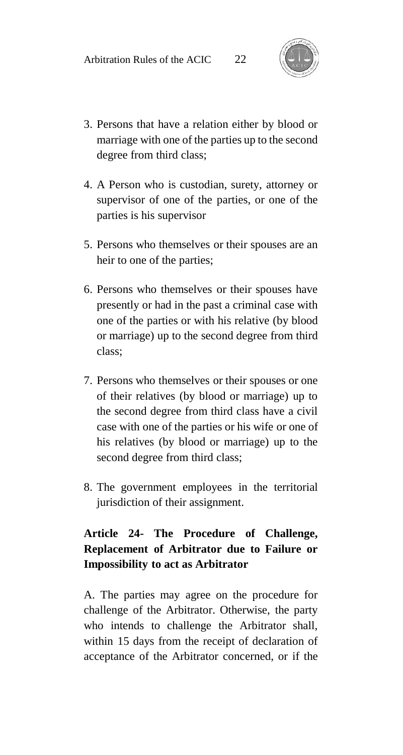

- 3. Persons that have a relation either by blood or marriage with one of the parties up to the second degree from third class;
- 4. A Person who is custodian, surety, attorney or supervisor of one of the parties, or one of the parties is his supervisor
- 5. Persons who themselves or their spouses are an heir to one of the parties;
- 6. Persons who themselves or their spouses have presently or had in the past a criminal case with one of the parties or with his relative (by blood or marriage) up to the second degree from third class;
- 7. Persons who themselves or their spouses or one of their relatives (by blood or marriage) up to the second degree from third class have a civil case with one of the parties or his wife or one of his relatives (by blood or marriage) up to the second degree from third class;
- 8. The government employees in the territorial jurisdiction of their assignment.

### **Article 24- The Procedure of Challenge, Replacement of Arbitrator due to Failure or Impossibility to act as Arbitrator**

A. The parties may agree on the procedure for challenge of the Arbitrator. Otherwise, the party who intends to challenge the Arbitrator shall, within 15 days from the receipt of declaration of acceptance of the Arbitrator concerned, or if the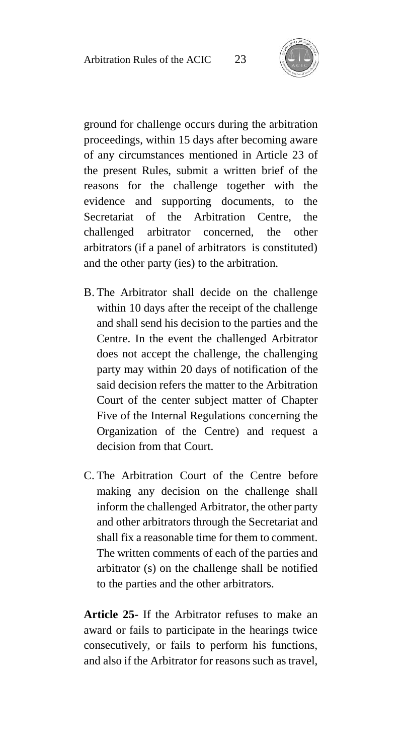

ground for challenge occurs during the arbitration proceedings, within 15 days after becoming aware of any circumstances mentioned in Article 23 of the present Rules, submit a written brief of the reasons for the challenge together with the evidence and supporting documents, to the Secretariat of the Arbitration Centre, the challenged arbitrator concerned, the other arbitrators (if a panel of arbitrators is constituted) and the other party (ies) to the arbitration.

- B. The Arbitrator shall decide on the challenge within 10 days after the receipt of the challenge and shall send his decision to the parties and the Centre. In the event the challenged Arbitrator does not accept the challenge, the challenging party may within 20 days of notification of the said decision refers the matter to the Arbitration Court of the center subject matter of Chapter Five of the Internal Regulations concerning the Organization of the Centre) and request a decision from that Court.
- C. The Arbitration Court of the Centre before making any decision on the challenge shall inform the challenged Arbitrator, the other party and other arbitrators through the Secretariat and shall fix a reasonable time for them to comment. The written comments of each of the parties and arbitrator (s) on the challenge shall be notified to the parties and the other arbitrators.

**Article 25-** If the Arbitrator refuses to make an award or fails to participate in the hearings twice consecutively, or fails to perform his functions, and also if the Arbitrator for reasons such as travel,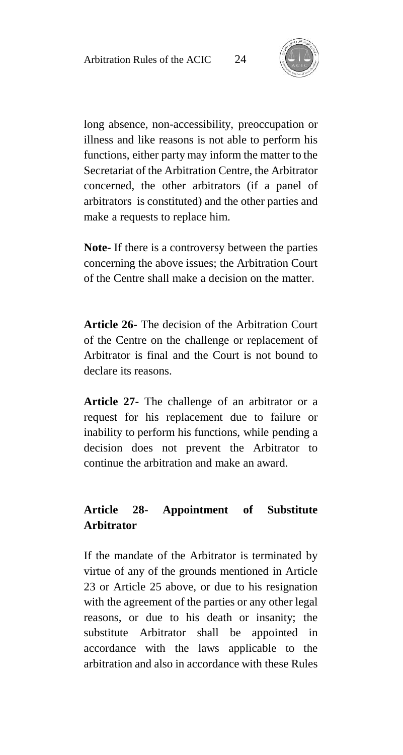

long absence, non-accessibility, preoccupation or illness and like reasons is not able to perform his functions, either party may inform the matter to the Secretariat of the Arbitration Centre, the Arbitrator concerned, the other arbitrators (if a panel of arbitrators is constituted) and the other parties and make a requests to replace him.

**Note-** If there is a controversy between the parties concerning the above issues; the Arbitration Court of the Centre shall make a decision on the matter.

**Article 26-** The decision of the Arbitration Court of the Centre on the challenge or replacement of Arbitrator is final and the Court is not bound to declare its reasons.

**Article 27-** The challenge of an arbitrator or a request for his replacement due to failure or inability to perform his functions, while pending a decision does not prevent the Arbitrator to continue the arbitration and make an award.

### **Article 28- Appointment of Substitute Arbitrator**

If the mandate of the Arbitrator is terminated by virtue of any of the grounds mentioned in Article 23 or Article 25 above, or due to his resignation with the agreement of the parties or any other legal reasons, or due to his death or insanity; the substitute Arbitrator shall be appointed in accordance with the laws applicable to the arbitration and also in accordance with these Rules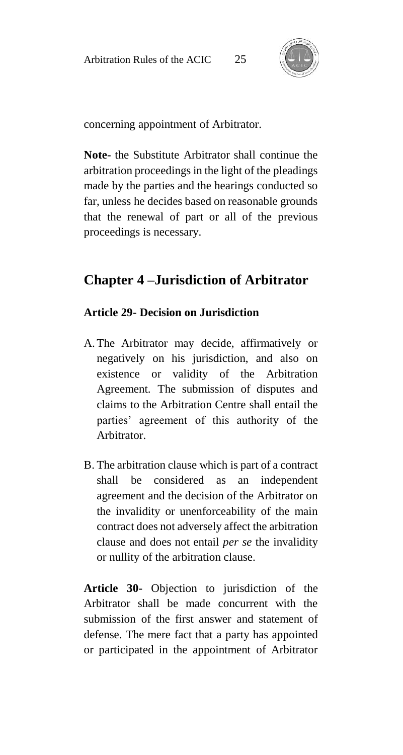

concerning appointment of Arbitrator.

**Note-** the Substitute Arbitrator shall continue the arbitration proceedings in the light of the pleadings made by the parties and the hearings conducted so far, unless he decides based on reasonable grounds that the renewal of part or all of the previous proceedings is necessary.

# **Chapter 4 –Jurisdiction of Arbitrator**

#### **Article 29- Decision on Jurisdiction**

- A.The Arbitrator may decide, affirmatively or negatively on his jurisdiction, and also on existence or validity of the Arbitration Agreement. The submission of disputes and claims to the Arbitration Centre shall entail the parties' agreement of this authority of the Arbitrator.
- B. The arbitration clause which is part of a contract shall be considered as an independent agreement and the decision of the Arbitrator on the invalidity or unenforceability of the main contract does not adversely affect the arbitration clause and does not entail *per se* the invalidity or nullity of the arbitration clause.

**Article 30-** Objection to jurisdiction of the Arbitrator shall be made concurrent with the submission of the first answer and statement of defense. The mere fact that a party has appointed or participated in the appointment of Arbitrator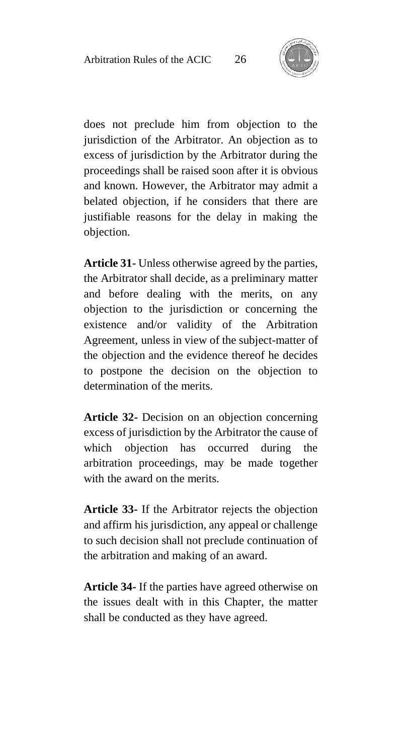

does not preclude him from objection to the jurisdiction of the Arbitrator. An objection as to excess of jurisdiction by the Arbitrator during the proceedings shall be raised soon after it is obvious and known. However, the Arbitrator may admit a belated objection, if he considers that there are justifiable reasons for the delay in making the objection.

**Article 31-** Unless otherwise agreed by the parties, the Arbitrator shall decide, as a preliminary matter and before dealing with the merits, on any objection to the jurisdiction or concerning the existence and/or validity of the Arbitration Agreement, unless in view of the subject-matter of the objection and the evidence thereof he decides to postpone the decision on the objection to determination of the merits.

**Article 32-** Decision on an objection concerning excess of jurisdiction by the Arbitrator the cause of which objection has occurred during the arbitration proceedings, may be made together with the award on the merits.

**Article 33-** If the Arbitrator rejects the objection and affirm his jurisdiction, any appeal or challenge to such decision shall not preclude continuation of the arbitration and making of an award.

**Article 34-** If the parties have agreed otherwise on the issues dealt with in this Chapter, the matter shall be conducted as they have agreed.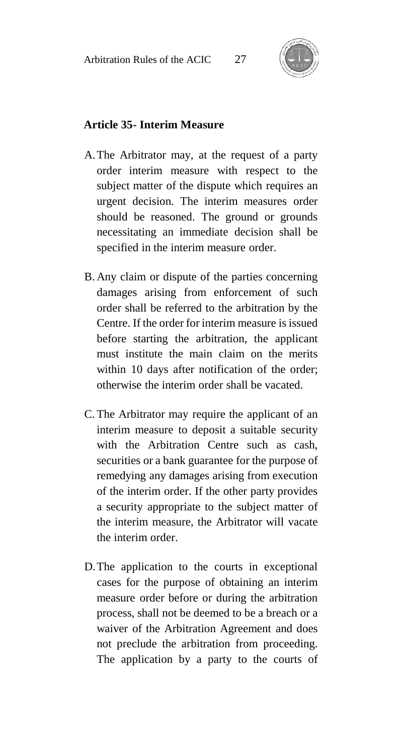

#### **Article 35- Interim Measure**

- A.The Arbitrator may, at the request of a party order interim measure with respect to the subject matter of the dispute which requires an urgent decision. The interim measures order should be reasoned. The ground or grounds necessitating an immediate decision shall be specified in the interim measure order.
- B. Any claim or dispute of the parties concerning damages arising from enforcement of such order shall be referred to the arbitration by the Centre. If the order for interim measure is issued before starting the arbitration, the applicant must institute the main claim on the merits within 10 days after notification of the order; otherwise the interim order shall be vacated.
- C. The Arbitrator may require the applicant of an interim measure to deposit a suitable security with the Arbitration Centre such as cash, securities or a bank guarantee for the purpose of remedying any damages arising from execution of the interim order. If the other party provides a security appropriate to the subject matter of the interim measure, the Arbitrator will vacate the interim order.
- D.The application to the courts in exceptional cases for the purpose of obtaining an interim measure order before or during the arbitration process, shall not be deemed to be a breach or a waiver of the Arbitration Agreement and does not preclude the arbitration from proceeding. The application by a party to the courts of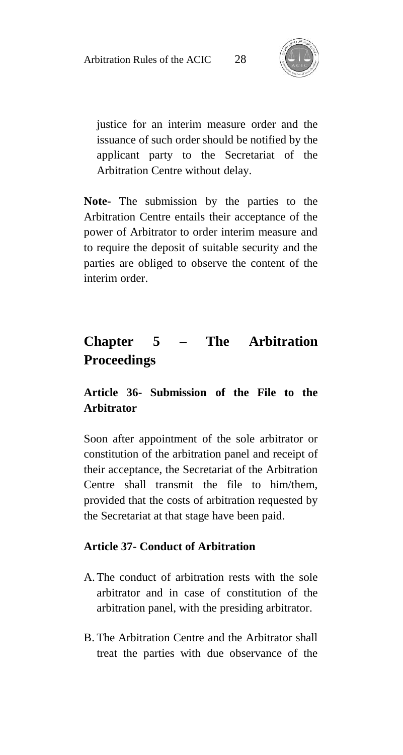

justice for an interim measure order and the issuance of such order should be notified by the applicant party to the Secretariat of the Arbitration Centre without delay.

**Note-** The submission by the parties to the Arbitration Centre entails their acceptance of the power of Arbitrator to order interim measure and to require the deposit of suitable security and the parties are obliged to observe the content of the interim order.

# **Chapter 5 – The Arbitration Proceedings**

### **Article 36- Submission of the File to the Arbitrator**

Soon after appointment of the sole arbitrator or constitution of the arbitration panel and receipt of their acceptance, the Secretariat of the Arbitration Centre shall transmit the file to him/them, provided that the costs of arbitration requested by the Secretariat at that stage have been paid.

### **Article 37- Conduct of Arbitration**

- A.The conduct of arbitration rests with the sole arbitrator and in case of constitution of the arbitration panel, with the presiding arbitrator.
- B. The Arbitration Centre and the Arbitrator shall treat the parties with due observance of the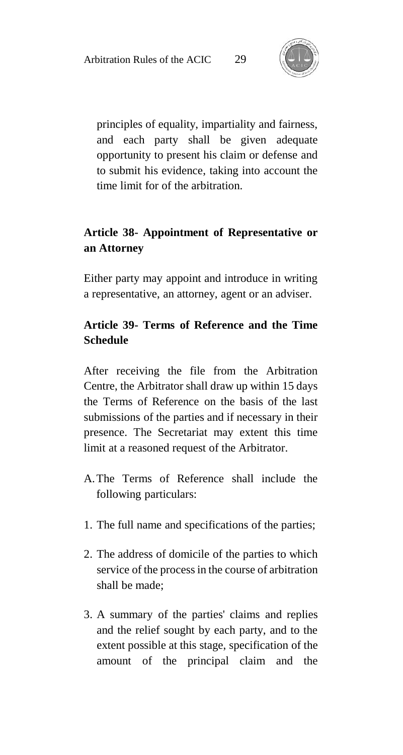

principles of equality, impartiality and fairness, and each party shall be given adequate opportunity to present his claim or defense and to submit his evidence, taking into account the time limit for of the arbitration.

### **Article 38- Appointment of Representative or an Attorney**

Either party may appoint and introduce in writing a representative, an attorney, agent or an adviser.

### **Article 39- Terms of Reference and the Time Schedule**

After receiving the file from the Arbitration Centre, the Arbitrator shall draw up within 15 days the Terms of Reference on the basis of the last submissions of the parties and if necessary in their presence. The Secretariat may extent this time limit at a reasoned request of the Arbitrator.

- A.The Terms of Reference shall include the following particulars:
- 1. The full name and specifications of the parties;
- 2. The address of domicile of the parties to which service of the process in the course of arbitration shall be made;
- 3. A summary of the parties' claims and replies and the relief sought by each party, and to the extent possible at this stage, specification of the amount of the principal claim and the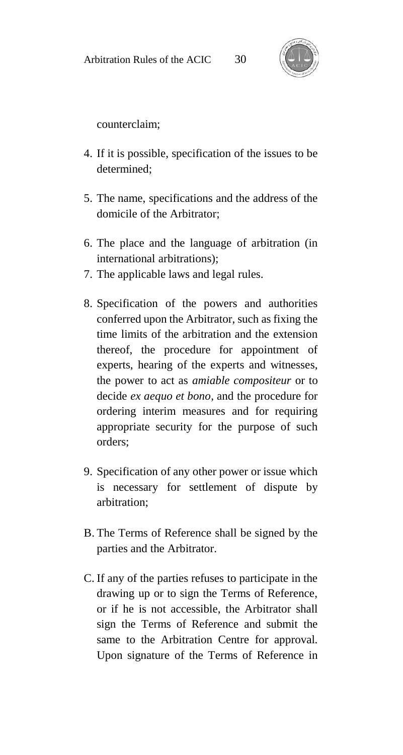

counterclaim;

- 4. If it is possible, specification of the issues to be determined;
- 5. The name, specifications and the address of the domicile of the Arbitrator;
- 6. The place and the language of arbitration (in international arbitrations);
- 7. The applicable laws and legal rules.
- 8. Specification of the powers and authorities conferred upon the Arbitrator, such as fixing the time limits of the arbitration and the extension thereof, the procedure for appointment of experts, hearing of the experts and witnesses, the power to act as *amiable compositeur* or to decide *ex aequo et bono*, and the procedure for ordering interim measures and for requiring appropriate security for the purpose of such orders;
- 9. Specification of any other power or issue which is necessary for settlement of dispute by arbitration;
- B. The Terms of Reference shall be signed by the parties and the Arbitrator.
- C. If any of the parties refuses to participate in the drawing up or to sign the Terms of Reference, or if he is not accessible, the Arbitrator shall sign the Terms of Reference and submit the same to the Arbitration Centre for approval. Upon signature of the Terms of Reference in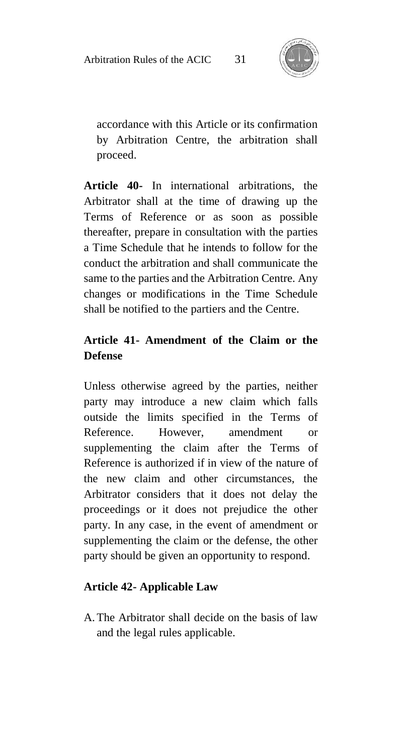

accordance with this Article or its confirmation by Arbitration Centre, the arbitration shall proceed.

**Article 40-** In international arbitrations, the Arbitrator shall at the time of drawing up the Terms of Reference or as soon as possible thereafter, prepare in consultation with the parties a Time Schedule that he intends to follow for the conduct the arbitration and shall communicate the same to the parties and the Arbitration Centre. Any changes or modifications in the Time Schedule shall be notified to the partiers and the Centre.

### **Article 41- Amendment of the Claim or the Defense**

Unless otherwise agreed by the parties, neither party may introduce a new claim which falls outside the limits specified in the Terms of Reference. However, amendment or supplementing the claim after the Terms of Reference is authorized if in view of the nature of the new claim and other circumstances, the Arbitrator considers that it does not delay the proceedings or it does not prejudice the other party. In any case, in the event of amendment or supplementing the claim or the defense, the other party should be given an opportunity to respond.

### **Article 42- Applicable Law**

A.The Arbitrator shall decide on the basis of law and the legal rules applicable.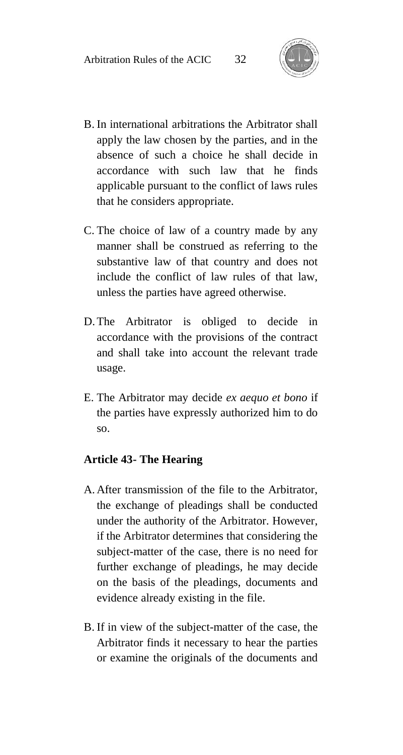

- B. In international arbitrations the Arbitrator shall apply the law chosen by the parties, and in the absence of such a choice he shall decide in accordance with such law that he finds applicable pursuant to the conflict of laws rules that he considers appropriate.
- C. The choice of law of a country made by any manner shall be construed as referring to the substantive law of that country and does not include the conflict of law rules of that law, unless the parties have agreed otherwise.
- D.The Arbitrator is obliged to decide in accordance with the provisions of the contract and shall take into account the relevant trade usage.
- E. The Arbitrator may decide *ex aequo et bono* if the parties have expressly authorized him to do so.

#### **Article 43- The Hearing**

- A. After transmission of the file to the Arbitrator, the exchange of pleadings shall be conducted under the authority of the Arbitrator. However, if the Arbitrator determines that considering the subject-matter of the case, there is no need for further exchange of pleadings, he may decide on the basis of the pleadings, documents and evidence already existing in the file.
- B. If in view of the subject-matter of the case, the Arbitrator finds it necessary to hear the parties or examine the originals of the documents and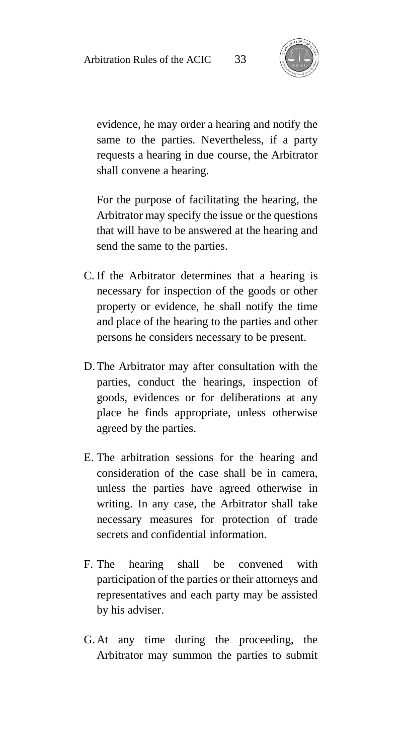

evidence, he may order a hearing and notify the same to the parties. Nevertheless, if a party requests a hearing in due course, the Arbitrator shall convene a hearing.

For the purpose of facilitating the hearing, the Arbitrator may specify the issue or the questions that will have to be answered at the hearing and send the same to the parties.

- C. If the Arbitrator determines that a hearing is necessary for inspection of the goods or other property or evidence, he shall notify the time and place of the hearing to the parties and other persons he considers necessary to be present.
- D.The Arbitrator may after consultation with the parties, conduct the hearings, inspection of goods, evidences or for deliberations at any place he finds appropriate, unless otherwise agreed by the parties.
- E. The arbitration sessions for the hearing and consideration of the case shall be in camera, unless the parties have agreed otherwise in writing. In any case, the Arbitrator shall take necessary measures for protection of trade secrets and confidential information.
- F. The hearing shall be convened with participation of the parties or their attorneys and representatives and each party may be assisted by his adviser.
- G.At any time during the proceeding, the Arbitrator may summon the parties to submit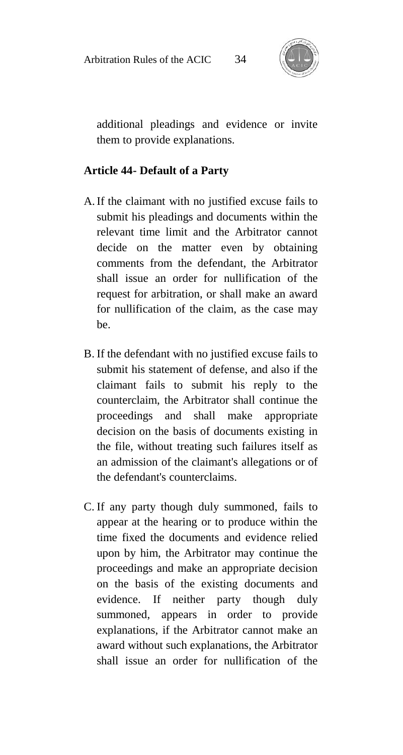

additional pleadings and evidence or invite them to provide explanations.

#### **Article 44- Default of a Party**

- A.If the claimant with no justified excuse fails to submit his pleadings and documents within the relevant time limit and the Arbitrator cannot decide on the matter even by obtaining comments from the defendant, the Arbitrator shall issue an order for nullification of the request for arbitration, or shall make an award for nullification of the claim, as the case may be.
- B. If the defendant with no justified excuse fails to submit his statement of defense, and also if the claimant fails to submit his reply to the counterclaim, the Arbitrator shall continue the proceedings and shall make appropriate decision on the basis of documents existing in the file, without treating such failures itself as an admission of the claimant's allegations or of the defendant's counterclaims.
- C. If any party though duly summoned, fails to appear at the hearing or to produce within the time fixed the documents and evidence relied upon by him, the Arbitrator may continue the proceedings and make an appropriate decision on the basis of the existing documents and evidence. If neither party though duly summoned, appears in order to provide explanations, if the Arbitrator cannot make an award without such explanations, the Arbitrator shall issue an order for nullification of the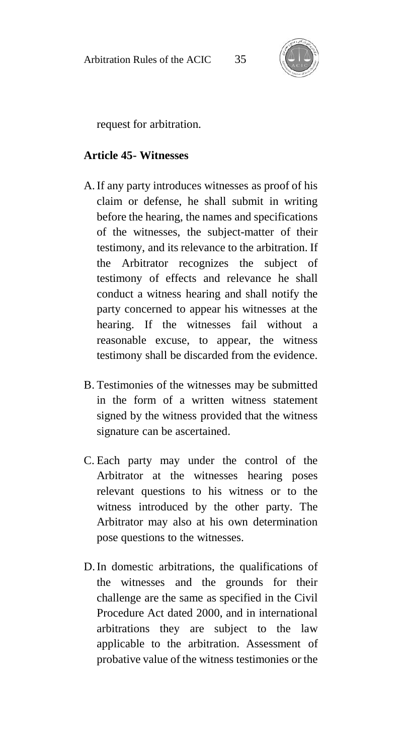

request for arbitration.

#### **Article 45- Witnesses**

- A.If any party introduces witnesses as proof of his claim or defense, he shall submit in writing before the hearing, the names and specifications of the witnesses, the subject-matter of their testimony, and its relevance to the arbitration. If the Arbitrator recognizes the subject of testimony of effects and relevance he shall conduct a witness hearing and shall notify the party concerned to appear his witnesses at the hearing. If the witnesses fail without a reasonable excuse, to appear, the witness testimony shall be discarded from the evidence.
- B. Testimonies of the witnesses may be submitted in the form of a written witness statement signed by the witness provided that the witness signature can be ascertained.
- C. Each party may under the control of the Arbitrator at the witnesses hearing poses relevant questions to his witness or to the witness introduced by the other party. The Arbitrator may also at his own determination pose questions to the witnesses.
- D.In domestic arbitrations, the qualifications of the witnesses and the grounds for their challenge are the same as specified in the Civil Procedure Act dated 2000, and in international arbitrations they are subject to the law applicable to the arbitration. Assessment of probative value of the witness testimonies or the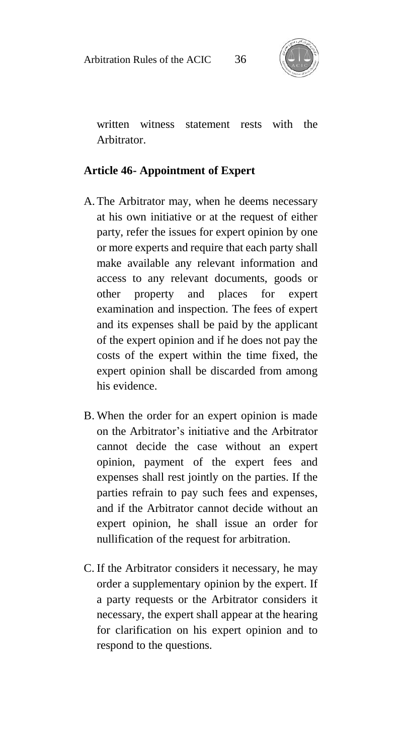

written witness statement rests with the Arbitrator.

#### **Article 46- Appointment of Expert**

- A.The Arbitrator may, when he deems necessary at his own initiative or at the request of either party, refer the issues for expert opinion by one or more experts and require that each party shall make available any relevant information and access to any relevant documents, goods or other property and places for expert examination and inspection. The fees of expert and its expenses shall be paid by the applicant of the expert opinion and if he does not pay the costs of the expert within the time fixed, the expert opinion shall be discarded from among his evidence.
- B. When the order for an expert opinion is made on the Arbitrator's initiative and the Arbitrator cannot decide the case without an expert opinion, payment of the expert fees and expenses shall rest jointly on the parties. If the parties refrain to pay such fees and expenses, and if the Arbitrator cannot decide without an expert opinion, he shall issue an order for nullification of the request for arbitration.
- C. If the Arbitrator considers it necessary, he may order a supplementary opinion by the expert. If a party requests or the Arbitrator considers it necessary, the expert shall appear at the hearing for clarification on his expert opinion and to respond to the questions.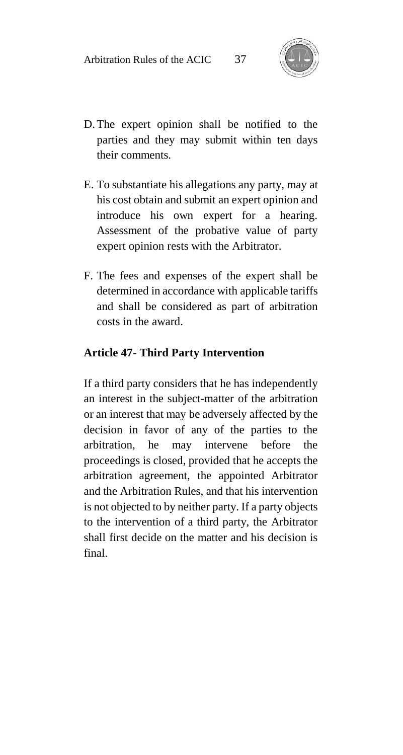

- D.The expert opinion shall be notified to the parties and they may submit within ten days their comments.
- E. To substantiate his allegations any party, may at his cost obtain and submit an expert opinion and introduce his own expert for a hearing. Assessment of the probative value of party expert opinion rests with the Arbitrator.
- F. The fees and expenses of the expert shall be determined in accordance with applicable tariffs and shall be considered as part of arbitration costs in the award.

#### **Article 47- Third Party Intervention**

If a third party considers that he has independently an interest in the subject-matter of the arbitration or an interest that may be adversely affected by the decision in favor of any of the parties to the arbitration, he may intervene before the proceedings is closed, provided that he accepts the arbitration agreement, the appointed Arbitrator and the Arbitration Rules, and that his intervention is not objected to by neither party. If a party objects to the intervention of a third party, the Arbitrator shall first decide on the matter and his decision is final.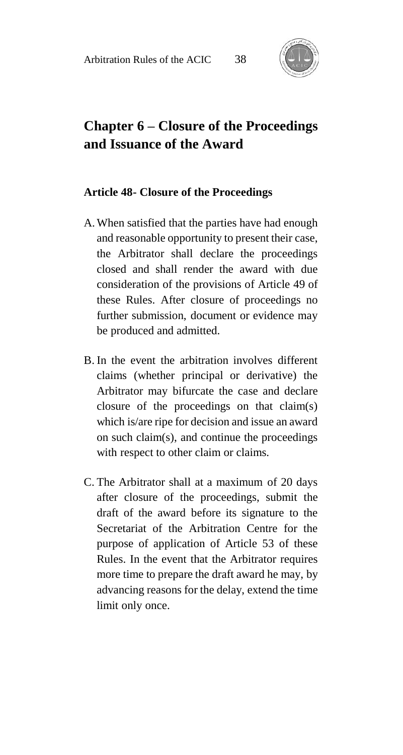

# **Chapter 6 – Closure of the Proceedings and Issuance of the Award**

#### **Article 48- Closure of the Proceedings**

- A.When satisfied that the parties have had enough and reasonable opportunity to present their case, the Arbitrator shall declare the proceedings closed and shall render the award with due consideration of the provisions of Article 49 of these Rules. After closure of proceedings no further submission, document or evidence may be produced and admitted.
- B. In the event the arbitration involves different claims (whether principal or derivative) the Arbitrator may bifurcate the case and declare closure of the proceedings on that claim(s) which is/are ripe for decision and issue an award on such claim(s), and continue the proceedings with respect to other claim or claims.
- C. The Arbitrator shall at a maximum of 20 days after closure of the proceedings, submit the draft of the award before its signature to the Secretariat of the Arbitration Centre for the purpose of application of Article 53 of these Rules. In the event that the Arbitrator requires more time to prepare the draft award he may, by advancing reasons for the delay, extend the time limit only once.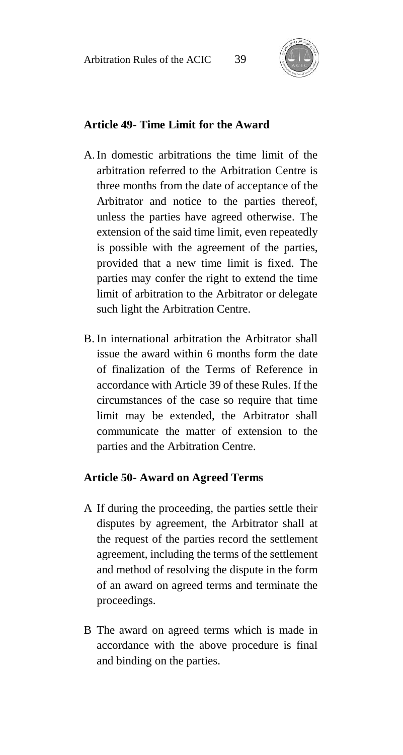

### **Article 49- Time Limit for the Award**

- A.In domestic arbitrations the time limit of the arbitration referred to the Arbitration Centre is three months from the date of acceptance of the Arbitrator and notice to the parties thereof, unless the parties have agreed otherwise. The extension of the said time limit, even repeatedly is possible with the agreement of the parties, provided that a new time limit is fixed. The parties may confer the right to extend the time limit of arbitration to the Arbitrator or delegate such light the Arbitration Centre.
- B. In international arbitration the Arbitrator shall issue the award within 6 months form the date of finalization of the Terms of Reference in accordance with Article 39 of these Rules. If the circumstances of the case so require that time limit may be extended, the Arbitrator shall communicate the matter of extension to the parties and the Arbitration Centre.

#### **Article 50- Award on Agreed Terms**

- A If during the proceeding, the parties settle their disputes by agreement, the Arbitrator shall at the request of the parties record the settlement agreement, including the terms of the settlement and method of resolving the dispute in the form of an award on agreed terms and terminate the proceedings.
- B The award on agreed terms which is made in accordance with the above procedure is final and binding on the parties.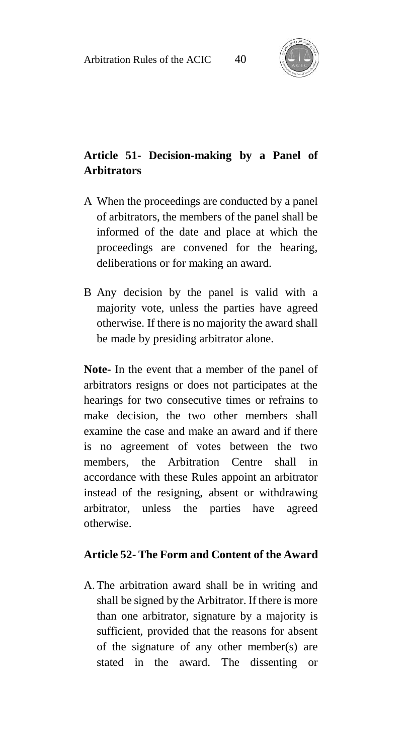

### **Article 51- Decision-making by a Panel of Arbitrators**

- A When the proceedings are conducted by a panel of arbitrators, the members of the panel shall be informed of the date and place at which the proceedings are convened for the hearing, deliberations or for making an award.
- B Any decision by the panel is valid with a majority vote, unless the parties have agreed otherwise. If there is no majority the award shall be made by presiding arbitrator alone.

**Note-** In the event that a member of the panel of arbitrators resigns or does not participates at the hearings for two consecutive times or refrains to make decision, the two other members shall examine the case and make an award and if there is no agreement of votes between the two members, the Arbitration Centre shall in accordance with these Rules appoint an arbitrator instead of the resigning, absent or withdrawing arbitrator, unless the parties have agreed otherwise.

#### **Article 52- The Form and Content of the Award**

A.The arbitration award shall be in writing and shall be signed by the Arbitrator. If there is more than one arbitrator, signature by a majority is sufficient, provided that the reasons for absent of the signature of any other member(s) are stated in the award. The dissenting or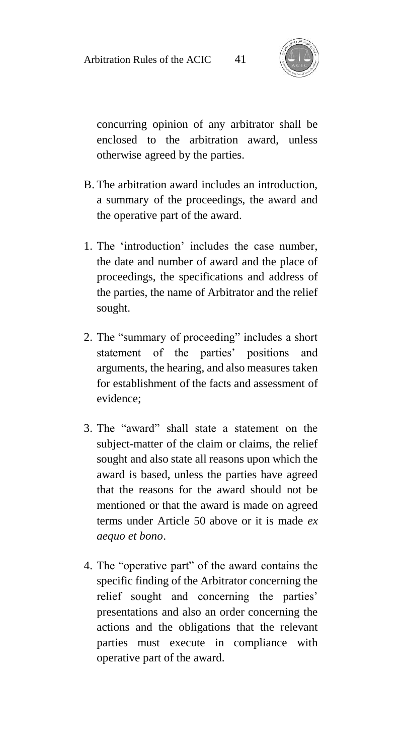

concurring opinion of any arbitrator shall be enclosed to the arbitration award, unless otherwise agreed by the parties.

- B. The arbitration award includes an introduction, a summary of the proceedings, the award and the operative part of the award.
- 1. The 'introduction' includes the case number, the date and number of award and the place of proceedings, the specifications and address of the parties, the name of Arbitrator and the relief sought.
- 2. The "summary of proceeding" includes a short statement of the parties' positions and arguments, the hearing, and also measures taken for establishment of the facts and assessment of evidence;
- 3. The "award" shall state a statement on the subject-matter of the claim or claims, the relief sought and also state all reasons upon which the award is based, unless the parties have agreed that the reasons for the award should not be mentioned or that the award is made on agreed terms under Article 50 above or it is made *ex aequo et bono*.
- 4. The "operative part" of the award contains the specific finding of the Arbitrator concerning the relief sought and concerning the parties' presentations and also an order concerning the actions and the obligations that the relevant parties must execute in compliance with operative part of the award.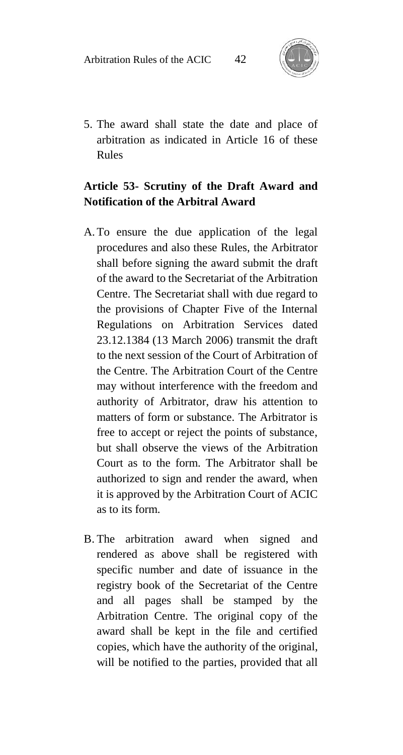

5. The award shall state the date and place of arbitration as indicated in Article 16 of these Rules

### **Article 53- Scrutiny of the Draft Award and Notification of the Arbitral Award**

- A.To ensure the due application of the legal procedures and also these Rules, the Arbitrator shall before signing the award submit the draft of the award to the Secretariat of the Arbitration Centre. The Secretariat shall with due regard to the provisions of Chapter Five of the Internal Regulations on Arbitration Services dated 23.12.1384 (13 March 2006) transmit the draft to the next session of the Court of Arbitration of the Centre. The Arbitration Court of the Centre may without interference with the freedom and authority of Arbitrator, draw his attention to matters of form or substance. The Arbitrator is free to accept or reject the points of substance, but shall observe the views of the Arbitration Court as to the form. The Arbitrator shall be authorized to sign and render the award, when it is approved by the Arbitration Court of ACIC as to its form.
- B. The arbitration award when signed and rendered as above shall be registered with specific number and date of issuance in the registry book of the Secretariat of the Centre and all pages shall be stamped by the Arbitration Centre. The original copy of the award shall be kept in the file and certified copies, which have the authority of the original, will be notified to the parties, provided that all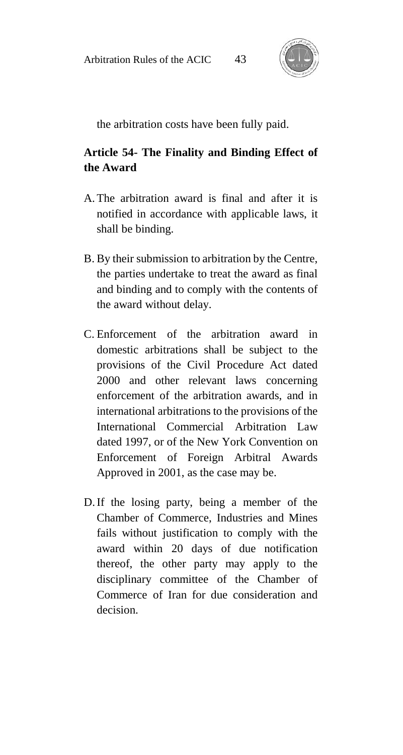

the arbitration costs have been fully paid.

### **Article 54- The Finality and Binding Effect of the Award**

- A.The arbitration award is final and after it is notified in accordance with applicable laws, it shall be binding.
- B. By their submission to arbitration by the Centre, the parties undertake to treat the award as final and binding and to comply with the contents of the award without delay.
- C. Enforcement of the arbitration award in domestic arbitrations shall be subject to the provisions of the Civil Procedure Act dated 2000 and other relevant laws concerning enforcement of the arbitration awards, and in international arbitrations to the provisions of the International Commercial Arbitration Law dated 1997, or of the New York Convention on Enforcement of Foreign Arbitral Awards Approved in 2001, as the case may be.
- D.If the losing party, being a member of the Chamber of Commerce, Industries and Mines fails without justification to comply with the award within 20 days of due notification thereof, the other party may apply to the disciplinary committee of the Chamber of Commerce of Iran for due consideration and decision.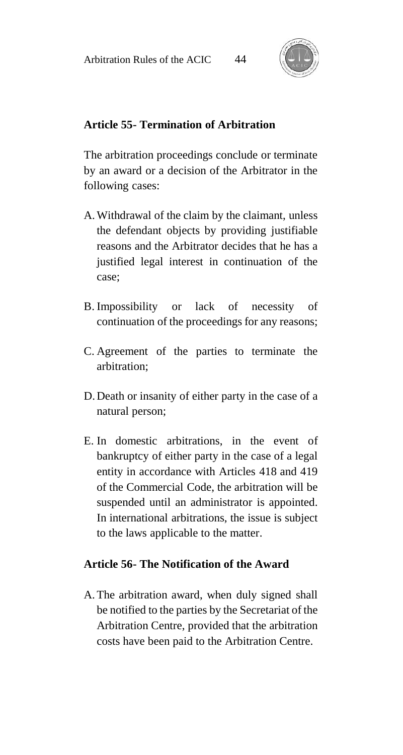

#### **Article 55- Termination of Arbitration**

The arbitration proceedings conclude or terminate by an award or a decision of the Arbitrator in the following cases:

- A.Withdrawal of the claim by the claimant, unless the defendant objects by providing justifiable reasons and the Arbitrator decides that he has a justified legal interest in continuation of the case;
- B. Impossibility or lack of necessity of continuation of the proceedings for any reasons;
- C. Agreement of the parties to terminate the arbitration;
- D.Death or insanity of either party in the case of a natural person;
- E. In domestic arbitrations, in the event of bankruptcy of either party in the case of a legal entity in accordance with Articles 418 and 419 of the Commercial Code, the arbitration will be suspended until an administrator is appointed. In international arbitrations, the issue is subject to the laws applicable to the matter.

#### **Article 56- The Notification of the Award**

A.The arbitration award, when duly signed shall be notified to the parties by the Secretariat of the Arbitration Centre, provided that the arbitration costs have been paid to the Arbitration Centre.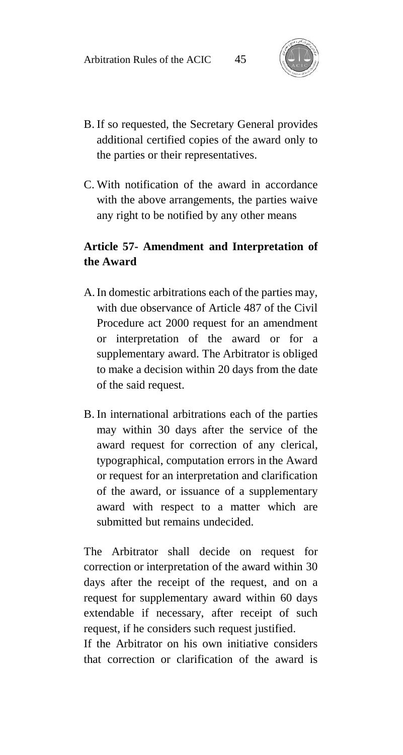

- B. If so requested, the Secretary General provides additional certified copies of the award only to the parties or their representatives.
- C. With notification of the award in accordance with the above arrangements, the parties waive any right to be notified by any other means

### **Article 57- Amendment and Interpretation of the Award**

- A.In domestic arbitrations each of the parties may, with due observance of Article 487 of the Civil Procedure act 2000 request for an amendment or interpretation of the award or for a supplementary award. The Arbitrator is obliged to make a decision within 20 days from the date of the said request.
- B. In international arbitrations each of the parties may within 30 days after the service of the award request for correction of any clerical, typographical, computation errors in the Award or request for an interpretation and clarification of the award, or issuance of a supplementary award with respect to a matter which are submitted but remains undecided.

The Arbitrator shall decide on request for correction or interpretation of the award within 30 days after the receipt of the request, and on a request for supplementary award within 60 days extendable if necessary, after receipt of such request, if he considers such request justified.

If the Arbitrator on his own initiative considers that correction or clarification of the award is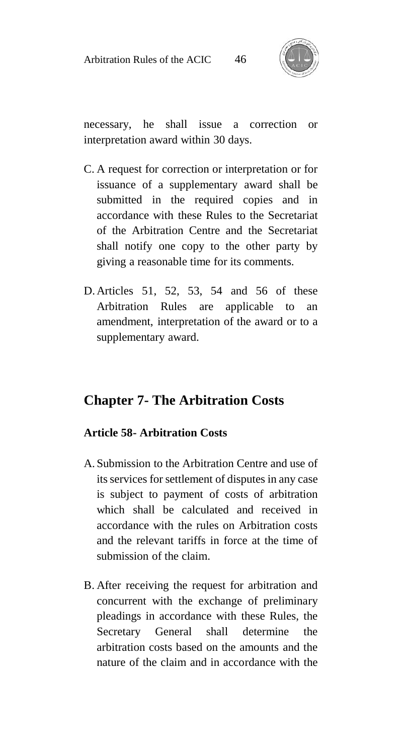

necessary, he shall issue a correction or interpretation award within 30 days.

- C. A request for correction or interpretation or for issuance of a supplementary award shall be submitted in the required copies and in accordance with these Rules to the Secretariat of the Arbitration Centre and the Secretariat shall notify one copy to the other party by giving a reasonable time for its comments.
- D.Articles 51, 52, 53, 54 and 56 of these Arbitration Rules are applicable to an amendment, interpretation of the award or to a supplementary award.

### **Chapter 7- The Arbitration Costs**

#### **Article 58- Arbitration Costs**

- A. Submission to the Arbitration Centre and use of its services for settlement of disputes in any case is subject to payment of costs of arbitration which shall be calculated and received in accordance with the rules on Arbitration costs and the relevant tariffs in force at the time of submission of the claim.
- B. After receiving the request for arbitration and concurrent with the exchange of preliminary pleadings in accordance with these Rules, the Secretary General shall determine the arbitration costs based on the amounts and the nature of the claim and in accordance with the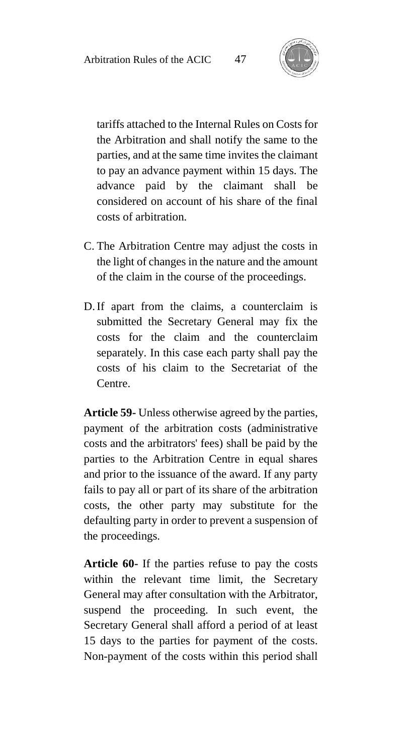

tariffs attached to the Internal Rules on Costs for the Arbitration and shall notify the same to the parties, and at the same time invites the claimant to pay an advance payment within 15 days. The advance paid by the claimant shall be considered on account of his share of the final costs of arbitration.

- C. The Arbitration Centre may adjust the costs in the light of changes in the nature and the amount of the claim in the course of the proceedings.
- D.If apart from the claims, a counterclaim is submitted the Secretary General may fix the costs for the claim and the counterclaim separately. In this case each party shall pay the costs of his claim to the Secretariat of the Centre.

**Article 59-** Unless otherwise agreed by the parties, payment of the arbitration costs (administrative costs and the arbitrators' fees) shall be paid by the parties to the Arbitration Centre in equal shares and prior to the issuance of the award. If any party fails to pay all or part of its share of the arbitration costs, the other party may substitute for the defaulting party in order to prevent a suspension of the proceedings.

**Article 60-** If the parties refuse to pay the costs within the relevant time limit, the Secretary General may after consultation with the Arbitrator, suspend the proceeding. In such event, the Secretary General shall afford a period of at least 15 days to the parties for payment of the costs. Non-payment of the costs within this period shall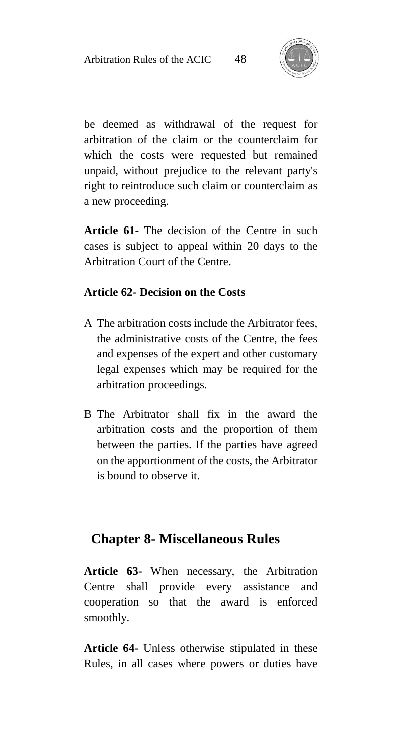

be deemed as withdrawal of the request for arbitration of the claim or the counterclaim for which the costs were requested but remained unpaid, without prejudice to the relevant party's right to reintroduce such claim or counterclaim as a new proceeding.

**Article 61-** The decision of the Centre in such cases is subject to appeal within 20 days to the Arbitration Court of the Centre.

#### **Article 62- Decision on the Costs**

- A The arbitration costs include the Arbitrator fees, the administrative costs of the Centre, the fees and expenses of the expert and other customary legal expenses which may be required for the arbitration proceedings.
- B The Arbitrator shall fix in the award the arbitration costs and the proportion of them between the parties. If the parties have agreed on the apportionment of the costs, the Arbitrator is bound to observe it.

### **Chapter 8- Miscellaneous Rules**

**Article 63-** When necessary, the Arbitration Centre shall provide every assistance and cooperation so that the award is enforced smoothly.

**Article 64-** Unless otherwise stipulated in these Rules, in all cases where powers or duties have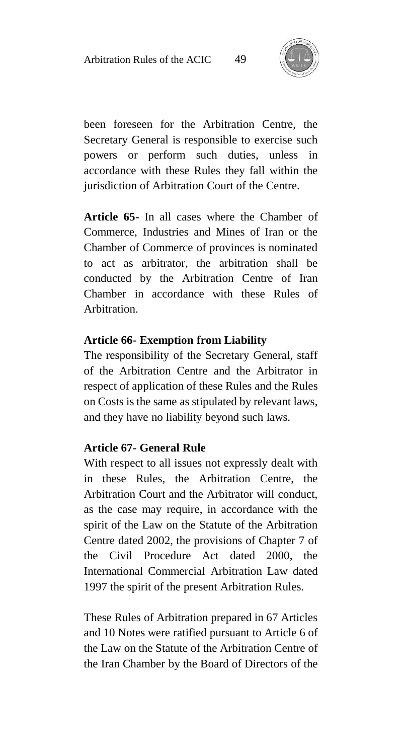

been foreseen for the Arbitration Centre, the Secretary General is responsible to exercise such powers or perform such duties, unless in accordance with these Rules they fall within the jurisdiction of Arbitration Court of the Centre.

**Article 65-** In all cases where the Chamber of Commerce, Industries and Mines of Iran or the Chamber of Commerce of provinces is nominated to act as arbitrator, the arbitration shall be conducted by the Arbitration Centre of Iran Chamber in accordance with these Rules of Arbitration.

#### **Article 66- Exemption from Liability**

The responsibility of the Secretary General, staff of the Arbitration Centre and the Arbitrator in respect of application of these Rules and the Rules on Costs is the same as stipulated by relevant laws, and they have no liability beyond such laws.

#### **Article 67- General Rule**

With respect to all issues not expressly dealt with in these Rules, the Arbitration Centre, the Arbitration Court and the Arbitrator will conduct, as the case may require, in accordance with the spirit of the Law on the Statute of the Arbitration Centre dated 2002, the provisions of Chapter 7 of the Civil Procedure Act dated 2000, the International Commercial Arbitration Law dated 1997 the spirit of the present Arbitration Rules.

These Rules of Arbitration prepared in 67 Articles and 10 Notes were ratified pursuant to Article 6 of the Law on the Statute of the Arbitration Centre of the Iran Chamber by the Board of Directors of the